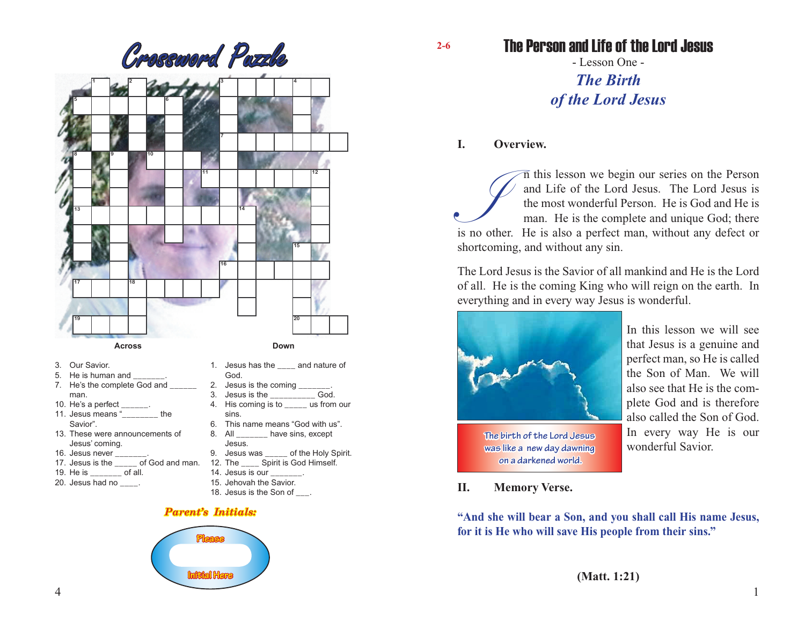

- 3. Our Savior.
- 5. He is human and
- 7. He's the complete God and man.
- 10. He's a perfect \_\_\_\_\_\_.
- 11. Jesus means "\_\_\_\_\_\_\_\_ the Savior".
- 13. These were announcements of Jesus' coming.
- 16. Jesus never \_\_\_\_\_\_\_.
- 17. Jesus is the \_\_\_\_\_ of God and man. 12. The \_\_\_\_ Spirit is God Himself.
- 19. He is \_\_\_\_\_\_\_ of all.
- 20. Jesus had no \_\_\_\_.
- 2. Jesus is the coming  $\frac{2}{3}$  desus is the God. 3. Jesus is the 4. His coming is to eas from our sins.
- 
- 6. This name means "God with us".<br>8. All have sins. except have sins, except
- Jesus.<br>9. Jesus was of the Holy Spirit.
- 
- 14. Jesus is our \_\_\_\_\_\_\_.

God.

- 15. Jehovah the Savior.
- 18. Jesus is the Son of \_\_\_.
- *Parent's Initials:*



**2-6**

The Person and Life of the Lord Jesus

- Lesson One - *The Birth of the Lord Jesus*

# **I. Overview.**

In this lesson we begin our series on the Person and Life of the Lord Jesus. The Lord Jesus is the most wonderful Person. He is God and He is man. He is the complete and unique God; there is no other. He is also a perfect and Life of the Lord Jesus. The Lord Jesus is the most wonderful Person. He is God and He is man. He is the complete and unique God; there shortcoming, and without any sin.

The Lord Jesus is the Savior of all mankind and He is the Lord of all. He is the coming King who will reign on the earth. In everything and in every way Jesus is wonderful.



**The birth of the Lord Jesus was like a new day dawning on a darkened world.**

In this lesson we will see that Jesus is a genuine and perfect man, so He is called the Son of Man. We will also see that He is the complete God and is therefore also called the Son of God. In every way He is our wonderful Savior.

**II. Memory Verse.**

**"And she will bear a Son, and you shall call His name Jesus, for it is He who will save His people from their sins."**